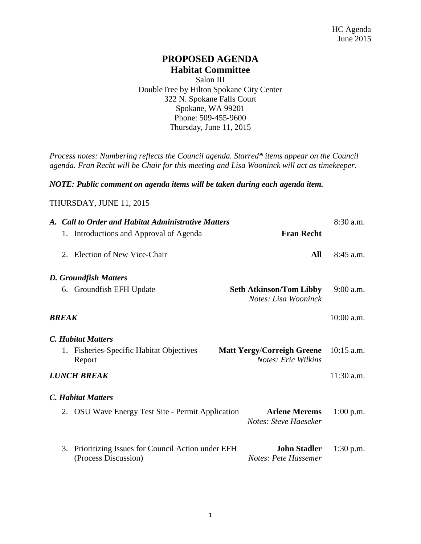### **PROPOSED AGENDA Habitat Committee**

Salon III DoubleTree by Hilton Spokane City Center 322 N. Spokane Falls Court Spokane, WA 99201 Phone: 509-455-9600 Thursday, June 11, 2015

*Process notes: Numbering reflects the Council agenda. Starred\* items appear on the Council agenda. Fran Recht will be Chair for this meeting and Lisa Wooninck will act as timekeeper.* 

#### *NOTE: Public comment on agenda items will be taken during each agenda item.*

#### THURSDAY, JUNE 11, 2015

| A. Call to Order and Habitat Administrative Matters |                                                                          |  |                                                                 | 8:30 a.m.    |
|-----------------------------------------------------|--------------------------------------------------------------------------|--|-----------------------------------------------------------------|--------------|
|                                                     | 1. Introductions and Approval of Agenda                                  |  | <b>Fran Recht</b>                                               |              |
|                                                     | 2. Election of New Vice-Chair                                            |  | All                                                             | $8:45$ a.m.  |
|                                                     | <b>D. Groundfish Matters</b>                                             |  |                                                                 |              |
|                                                     | 6. Groundfish EFH Update                                                 |  | <b>Seth Atkinson/Tom Libby</b><br>Notes: Lisa Wooninck          | $9:00$ a.m.  |
| BREAK                                               |                                                                          |  |                                                                 | $10:00$ a.m. |
|                                                     | <b>C.</b> Habitat Matters                                                |  |                                                                 |              |
|                                                     | 1. Fisheries-Specific Habitat Objectives<br>Report                       |  | <b>Matt Yergy/Correigh Greene</b><br><b>Notes: Eric Wilkins</b> | $10:15$ a.m. |
|                                                     | <b>LUNCH BREAK</b>                                                       |  |                                                                 | $11:30$ a.m. |
|                                                     | <b>C. Habitat Matters</b>                                                |  |                                                                 |              |
|                                                     | 2. OSU Wave Energy Test Site - Permit Application                        |  | <b>Arlene Merems</b><br>Notes: Steve Haeseker                   | $1:00$ p.m.  |
| 3.                                                  | Prioritizing Issues for Council Action under EFH<br>(Process Discussion) |  | <b>John Stadler</b><br>Notes: Pete Hassemer                     | $1:30$ p.m.  |